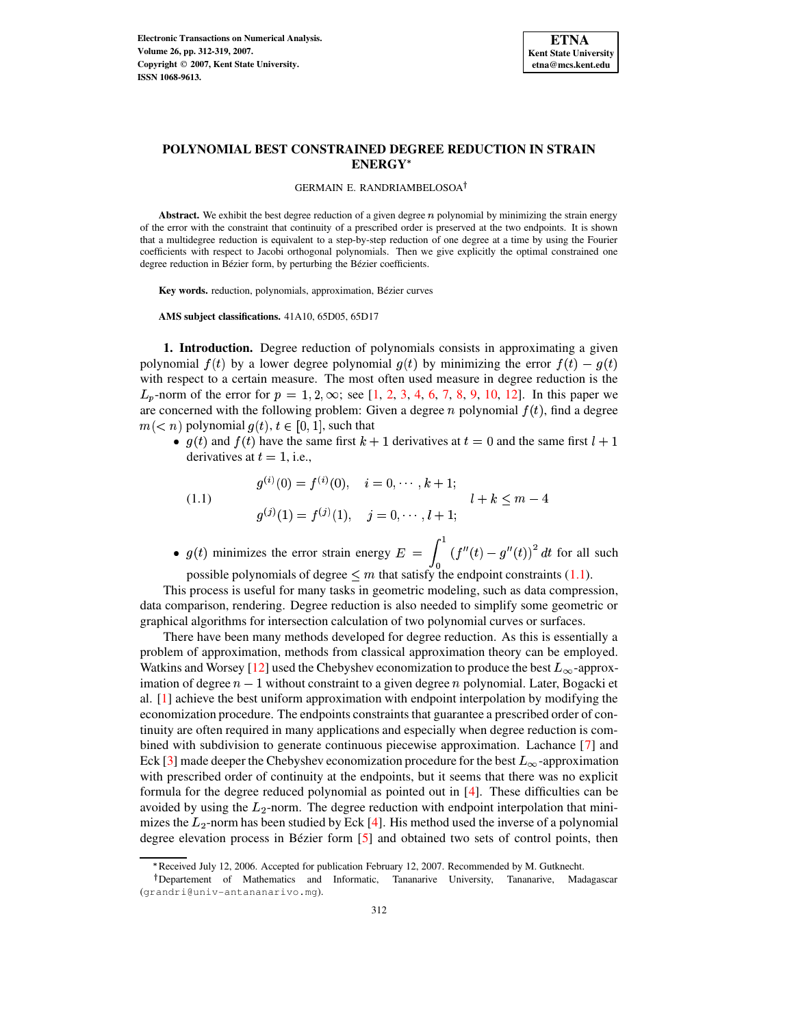

## GERMAIN E. RANDRIAMBELOSOA

Abstract. We exhibit the best degree reduction of a given degree  $n$  polynomial by minimizing the strain energy of the error with the constraint that continuity of a prescribed order is preserved at the two endpoints. It is shown that a multidegree reduction is equivalent to a step-by-step reduction of one degree at a time by using the Fourier coefficients with respect to Jacobi orthogonal polynomials. Then we give explicitly the optimal constrained one degree reduction in Bézier form, by perturbing the Bézier coefficients.

Key words. reduction, polynomials, approximation, Bézier curves

**AMS subject classifications.** 41A10, 65D05, 65D17

**1. Introduction.** Degree reduction of polynomials consists in approximating a given polynomial  $f(t)$  by a lower degree polynomial  $g(t)$  by minimizing the error  $f(t) - g(t)$ with respect to a certain measure. The most often used measure in degree reduction is the  $L_p$ -norm of the error for  $p = 1, 2, \infty$  $p = 1, 2, \infty$  $p = 1, 2, \infty$ ; see [\[1,](#page-7-0) 2, [3,](#page-7-2) [4,](#page-7-3) [6,](#page-7-4) [7,](#page-7-5) [8,](#page-7-6) [9,](#page-7-7) [10,](#page-7-8) [12\]](#page-7-9). In this paper we are concerned with the following problem: Given a degree  $n$  polynomial  $f(t)$ , find a degree  $m(< n)$  polynomial  $g(t), t \in [0,1]$ , such that

•  $g(t)$  and  $f(t)$  have the same first  $k + 1$  derivatives at  $t = 0$  and the same first  $l + 1$ derivatives at  $t=1$ , i.e.,

<span id="page-0-0"></span>(1.1) 
$$
g^{(i)}(0) = f^{(i)}(0), \quad i = 0, \dots, k+1; g^{(j)}(1) = f^{(j)}(1), \quad j = 0, \dots, l+1; l + k \leq m-4
$$

•  $g(t)$  minimizes the error strain energy  $E = \int_{0}^{1} (f''(t) - g''(t))^2 dt$  for all such

possible polynomials of degree  $\leq m$  that satisfy the endpoint constraints [\(1.1\)](#page-0-0).

This process is useful for many tasks in geometric modeling, such as data compression, data comparison, rendering. Degree reduction is also needed to simplify some geometric or graphical algorithms for intersection calculation of two polynomial curves or surfaces.

There have been many methods developed for degree reduction. As this is essentially a problem of approximation, methods from classical approximation theory can be employed. Watkins and Worsey [\[12\]](#page-7-9) used the Chebyshev economization to produce the best  $L_{\infty}$ -approximation of degree  $n-1$  without constraint to a given degree n polynomial. Later, Bogacki et al. [\[1\]](#page-7-0) achieve the best uniform approximation with endpoint interpolation by modifying the economization procedure. The endpoints constraints that guarantee a prescribed order of continuity are often required in many applications and especially when degree reduction is combined with subdivision to generate continuous piecewise approximation. Lachance [\[7\]](#page-7-5) and Eck [\[3\]](#page-7-2) made deeper the Chebyshev economization procedure for the best  $L_{\infty}$ -approximation with prescribed order of continuity at the endpoints, but it seems that there was no explicit formula for the degree reduced polynomial as pointed out in [\[4\]](#page-7-3). These difficulties can be avoided by using the  $L_2$ -norm. The degree reduction with endpoint interpolation that minimizes the  $L_2$ -norm has been studied by Eck [\[4\]](#page-7-3). His method used the inverse of a polynomial degree elevation process in Bézier form [\[5\]](#page-7-10) and obtained two sets of control points, then

<sup>g</sup> Received July 12, 2006. Accepted for publication February 12, 2007. Recommended by M. Gutknecht.

<sup>&</sup>lt;sup>†</sup>Departement of Mathematics and Informatic, Tananarive University, Tananarive, Madagascar (grandri@univ-antananarivo.mg).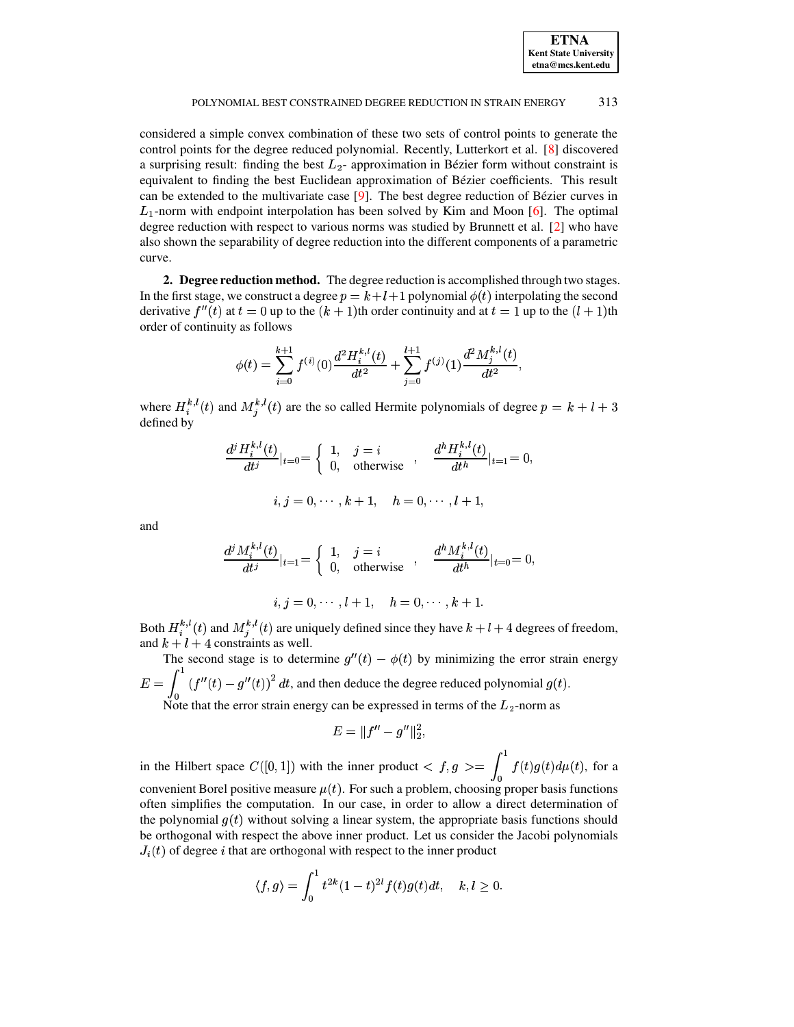

considered a simple convex combination of these two sets of control points to generate the control points for the degree reduced polynomial. Recently, Lutterkort et al. [\[8\]](#page-7-6) discovered a surprising result: finding the best  $L_2$ - approximation in Bézier form without constraint is equivalent to finding the best Euclidean approximation of Bézier coefficients. This result can be extended to the multivariate case  $[9]$ . The best degree reduction of Bézier curves in  $L_1$ -norm with endpoint interpolation has been solved by Kim and Moon [\[6\]](#page-7-4). The optimal degree reduction with respect to various norms was studied by Brunnett et al. [\[2\]](#page-7-1) who have also shown the separability of degree reduction into the different components of a parametric curve.

**2. Degree reduction method.** The degree reduction is accomplished through two stages. In the first stage, we construct a degree  $p = k + l + 1$  polynomial  $\phi(t)$  interpolating the second derivative  $f''(t)$  at  $t = 0$  up to the  $(k + 1)$ th order continuity and at  $t = 1$  up to the  $(l + 1)$ th order of continuity as follows

$$
\phi(t) = \sum_{i=0}^{k+1} f^{(i)}(0) \frac{d^2 H_i^{k,l}(t)}{dt^2} + \sum_{j=0}^{l+1} f^{(j)}(1) \frac{d^2 M_j^{k,l}(t)}{dt^2},
$$

where  $H_i^{\kappa,l}(t)$  and  $M_j^{\kappa,l}(t)$  are the so called Hermite polynomials of degree  $p = k + l + 3$ defined by

$$
\frac{d^{j} H_{i}^{k,l}(t)}{dt^{j}}|_{t=0} = \begin{cases} 1, & j = i \\ 0, & \text{otherwise} \end{cases}, \frac{d^{h} H_{i}^{k,l}(t)}{dt^{h}}|_{t=1} = 0,
$$
  
 $i, j = 0, \dots, k+1, \quad h = 0, \dots, l+1,$ 

and

$$
\frac{d^{j} M_{i}^{k,l}(t)}{dt^{j}}|_{t=1} = \begin{cases} 1, & j = i \\ 0, & \text{otherwise} \end{cases}, \frac{d^{h} M_{i}^{k,l}(t)}{dt^{h}}|_{t=0} = 0,
$$
  
 $i, j = 0, \cdots, l+1, \quad h = 0, \cdots, k+1.$ 

Both  $H_i^{\kappa, \iota}(t)$  and  $M_j^{\kappa, \iota}(t)$  are uniquely defined since they have  $k + l + 4$  degrees of freedom, and  $k + l + 4$  constraints as well.

The second stage is to determine  $g''(t) - \phi(t)$  by minimizing the error strain energy  $E = \int_{0}^{1} (f''(t) - g''(t))^2 dt$ , and then deduce the degree reduced polynomial  $g(t)$ .

Note that the error strain energy can be expressed in terms of the  $L_2$ -norm as

$$
E = \|f'' - g''\|_2^2,
$$

in the Hilbert space  $C([0,1])$  with the inner product  $\langle f, g \rangle = \int_{0}^{1} f(t)g(t) d\mu(t)$ , for a convenient Borel positive measure  $\mu(t)$ . For such a problem, choosing proper basis functions often simplifies the computation. In our case, in order to allow a direct determination of the polynomial  $g(t)$  without solving a linear system, the appropriate basis functions should be orthogonal with respect the above inner product. Let us consider the Jacobi polynomials  $J_i(t)$  of degree i that are orthogonal with respect to the inner product

$$
\langle f, g \rangle = \int_0^1 t^{2k} (1-t)^{2l} f(t) g(t) dt, \quad k, l \ge 0.
$$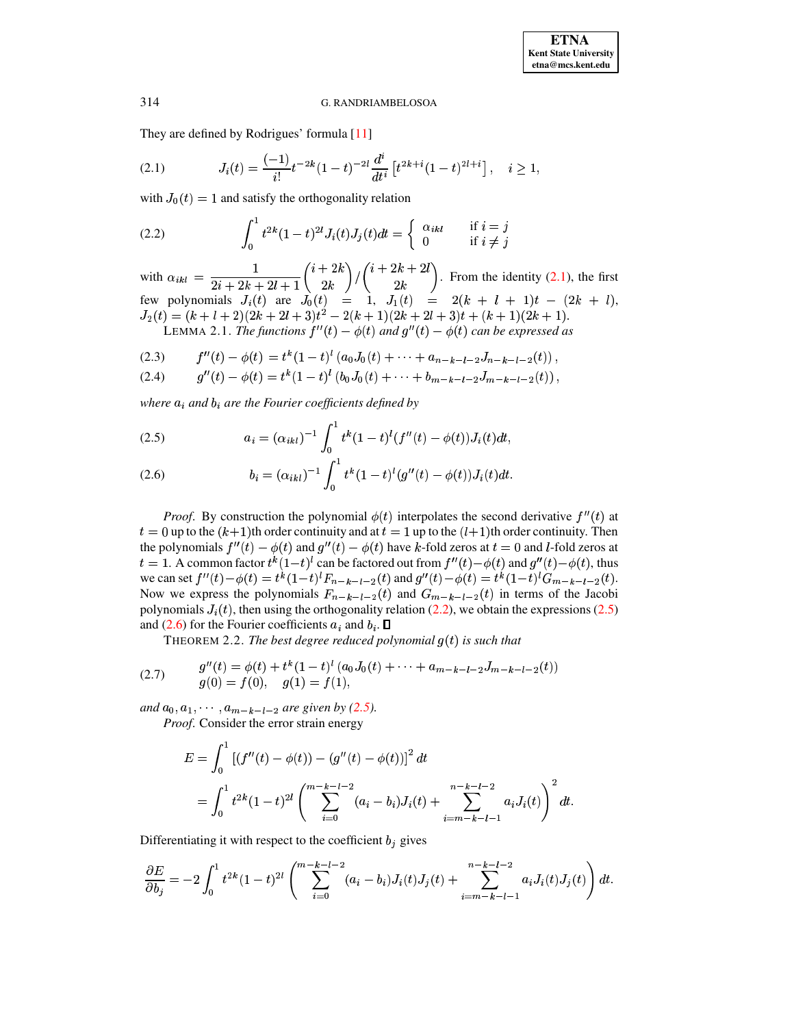# <span id="page-2-1"></span><span id="page-2-0"></span>G. RANDRIAMBELOSOA

They are defined by Rodrigues' formula [11]

$$
(2.1) \tJ_i(t) = \frac{(-1)}{i!}t^{-2k}(1-t)^{-2l}\frac{d^i}{dt^i}\left[t^{2k+i}(1-t)^{2l+i}\right], \quad i \ge 1,
$$

with  $J_0(t) = 1$  and satisfy the orthogonality relation

(2.2) 
$$
\int_0^1 t^{2k} (1-t)^{2l} J_i(t) J_j(t) dt = \begin{cases} \alpha_{ikl} & \text{if } i = j \\ 0 & \text{if } i \neq j \end{cases}
$$

with  $\alpha_{ikl} = \frac{1}{2i + 2k + 2l + 1} {i + 2k \choose 2k} / {i + 2k + 2l \choose 2k}$ . From the identity (2.1), the first<br>few polynomials  $J_i(t)$  are  $J_0(t) = 1$ ,  $J_1(t) = 2(k + l + 1)t - (2k + l)$ ,<br> $J_2(t) = (k + l + 2)(2k + 2l + 3)t^2 - 2(k + 1)(2k + 2l + 3)t + (k + 1)(2k + 1$ LEMMA 2.1. The functions  $f''(t) - \phi(t)$  and  $g''(t) - \phi(t)$  can be expressed as

<span id="page-2-3"></span>
$$
(2.3) \t f''(t) - \phi(t) = t^k (1-t)^l (a_0 J_0(t) + \cdots + a_{n-k-l-2} J_{n-k-l-2}(t))
$$

$$
(2.4) \t g''(t) - \phi(t) = t^k (1-t)^l (b_0 J_0(t) + \cdots + b_{m-k-l-2} J_{m-k-l-2}(t)),
$$

where  $a_i$  and  $b_i$  are the Fourier coefficients defined by

<span id="page-2-2"></span>(2.5) 
$$
a_i = (\alpha_{ikl})^{-1} \int_0^1 t^k (1-t)^l (f''(t) - \phi(t)) J_i(t) dt,
$$

(2.6) 
$$
b_i = (\alpha_{ikl})^{-1} \int_0^1 t^k (1-t)^l (g''(t) - \phi(t)) J_i(t) dt
$$

*Proof.* By construction the polynomial  $\phi(t)$  interpolates the second derivative  $f''(t)$  at  $t = 0$  up to the  $(k+1)$ th order continuity and at  $t = 1$  up to the  $(l+1)$ th order continuity. Then the polynomials  $f''(t) - \phi(t)$  and  $g''(t) - \phi(t)$  have k-fold zeros at  $t = 0$  and l-fold zeros at  $t = 1$ . A common factor  $t^k(1-t)^l$  can be factored out from  $f''(t) - \phi(t)$  and  $g''(t) - \phi(t)$ , thus we can set  $f''(t) - \phi(t) = t^k (1-t)^l F_{n-k-l-2}(t)$  and  $g''(t) - \phi(t) = t^k (1-t)^l G_{m-k-l-2}(t)$ . Now we express the polynomials  $F_{n-k-l-2}(t)$  and  $G_{m-k-l-2}(t)$  in terms of the Jacobi polynomials  $J_i(t)$ , then using the orthogonality relation (2.2), we obtain the expressions (2.5) and (2.6) for the Fourier coefficients  $a_i$  and  $b_i$ .  $\Box$ 

<span id="page-2-5"></span>THEOREM 2.2. The best degree reduced polynomial  $g(t)$  is such that

(2.7) 
$$
g''(t) = \phi(t) + t^k (1-t)^l (a_0 J_0(t) + \dots + a_{m-k-l-2} J_{m-k-l-2}(t))
$$

$$
g(0) = f(0), \quad g(1) = f(1),
$$

and  $a_0, a_1, \dots, a_{m-k-l-2}$  are given by (2.5).

Proof. Consider the error strain energy

<span id="page-2-4"></span>
$$
E = \int_0^1 \left[ (f''(t) - \phi(t)) - (g''(t) - \phi(t)) \right]^2 dt
$$
  
= 
$$
\int_0^1 t^{2k} (1-t)^{2l} \left( \sum_{i=0}^{m-k-l-2} (a_i - b_i) J_i(t) + \sum_{i=m-k-l-1}^{n-k-l-2} a_i J_i(t) \right)^2 dt.
$$

Differentiating it with respect to the coefficient  $b_j$  gives

$$
\frac{\partial E}{\partial b_j} = -2 \int_0^1 t^{2k} (1-t)^{2l} \left( \sum_{i=0}^{m-k-l-2} (a_i - b_i) J_i(t) J_j(t) + \sum_{i=m-k-l-1}^{n-k-l-2} a_i J_i(t) J_j(t) \right) dt.
$$

314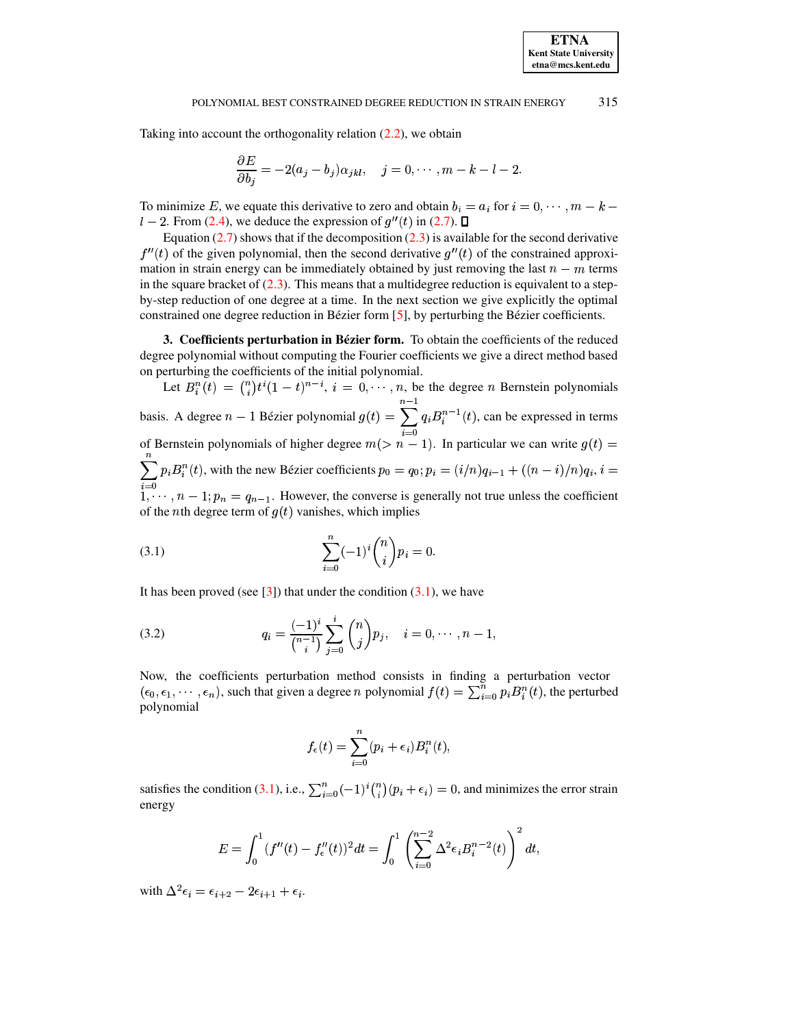Taking into account the orthogonality relation  $(2.2)$ , we obtain

$$
\frac{\partial E}{\partial b_j} = -2(a_j - b_j)\alpha_{jkl}, \quad j = 0, \cdots, m-k-l-2.
$$

To minimize E, we equate this derivative to zero and obtain  $b_i = a_i$  for  $i = 0, \dots, m - k - 1$  $l-2$ . From [\(2.4\)](#page-2-3), we deduce the expression of  $g''(t)$  in [\(2.7\)](#page-2-4).

Equation  $(2.7)$  shows that if the decomposition  $(2.3)$  is available for the second derivative  $f''(t)$  of the given polynomial, then the second derivative  $g''(t)$  of the constrained approximation in strain energy can be immediately obtained by just removing the last  $n-m$  terms in the square bracket of  $(2.3)$ . This means that a multidegree reduction is equivalent to a stepby-step reduction of one degree at a time. In the next section we give explicitly the optimal constrained one degree reduction in Bézier form  $[5]$ , by perturbing the Bézier coefficients.

**3. Coefficients perturbation in Bezier ´ form.** To obtain the coefficients of the reduced degree polynomial without computing the Fourier coefficients we give a direct method based on perturbing the coefficients of the initial polynomial.

Let  $B_i^n(t) = \binom{n}{i} t^i (1-t)^{n-i}, i = 0, \dots, n$ , be the degree *n* Bernstein polynomials basis. A degree  $n-1$  Bézier polynomial  $g(t) = \sum_{i=1}^n q_i B_i^{n-1}(t)$  $\frac{n-1}{2}$  $\sum_{i=0} q_i B_i^{n-1}(t)$ , can be expressed in terms of Bernstein polynomials of higher degree  $m(> n - 1)$ . In particular we can write  $g(t) =$  $\mathbf{u}$  $\sum_{i=0} p_i B_i^n(t)$ , with the new Bézier coefficients  $p_0 = q_0; p_i = (i/n)$  $f_0; p_i = (i/n)q_{i-1} + ((n-i)/n)q_i, i = 0$  $1, \dots, n-1; p_n = q_{n-1}$ . However, the converse is generally not true unless the coefficient of the *n*th degree term of  $g(t)$  vanishes, which implies

<span id="page-3-0"></span>(3.1) 
$$
\sum_{i=0}^{n} (-1)^{i} {n \choose i} p_{i} = 0.
$$

It has been proved (see  $[3]$ ) that under the condition  $(3.1)$ , we have

(3.2) 
$$
q_i = \frac{(-1)^i}{\binom{n-1}{i}} \sum_{j=0}^i \binom{n}{j} p_j, \quad i = 0, \cdots, n-1,
$$

Now, the coefficients perturbation method consists in finding a perturbation vector  $(\epsilon_0, \epsilon_1, \dots, \epsilon_n)$ , such that given a degree *n* polynomial  $f(t) = \sum_{i=0}^n p_i B_i^n(t)$ , the perturbed polynomial

<span id="page-3-1"></span>
$$
f_{\epsilon}(t)=\sum_{i=0}^n(p_i+\epsilon_i)B_i^n(t),
$$

satisfies the condition [\(3.1\)](#page-3-0), i.e.,  $\sum_{i=0}^{n} (-1)^{i} {n \choose i} (p_i + \epsilon_i) = 0$ , and minimizes the error strain energy

$$
E = \int_0^1 (f''(t) - f''_e(t))^2 dt = \int_0^1 \left( \sum_{i=0}^{n-2} \Delta^2 \epsilon_i B_i^{n-2}(t) \right)^2 dt,
$$

with  $\Delta^2 \epsilon_i = \epsilon_{i+2} - 2\epsilon_{i+1} + \epsilon_i$ .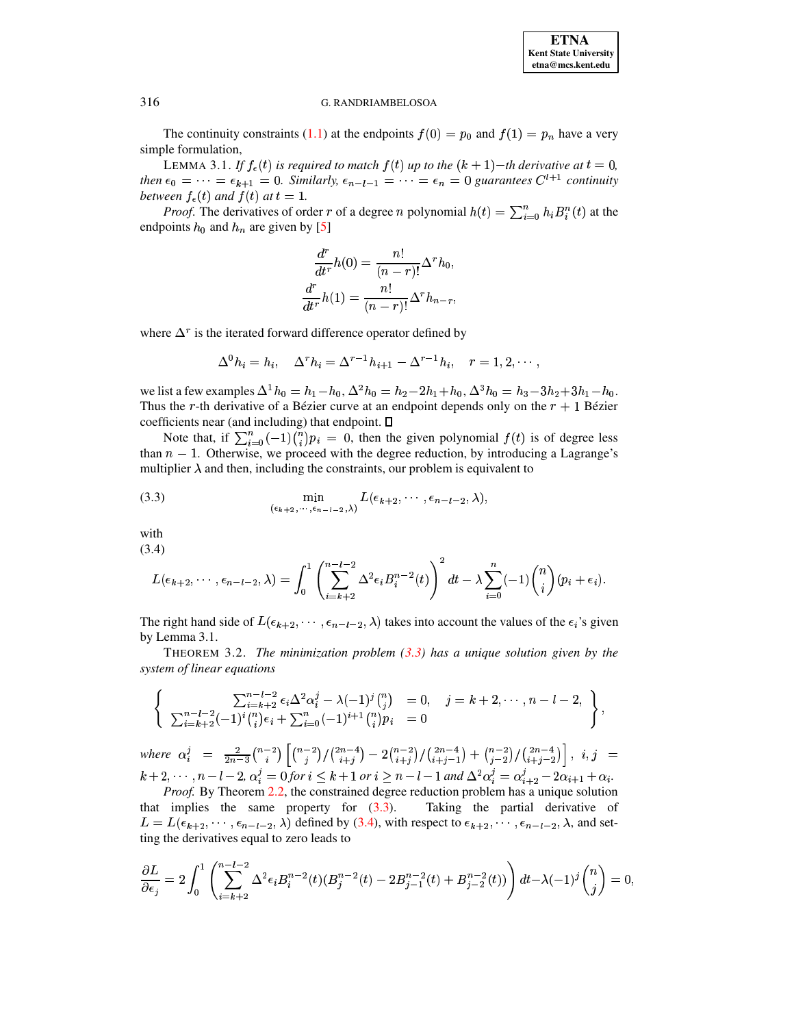# **G. RANDRIAMBELOSOA**

The continuity constraints (1.1) at the endpoints  $f(0) = p_0$  and  $f(1) = p_n$  have a very simple formulation,

LEMMA 3.1. If  $f_{\epsilon}(t)$  is required to match  $f(t)$  up to the  $(k + 1)$ –th derivative at  $t = 0$ , then  $\epsilon_0 = \cdots = \epsilon_{k+1} = 0$ . Similarly,  $\epsilon_{n-l-1} = \cdots = \epsilon_n = 0$  guarantees  $C^{l+1}$  continuity between  $f_{\epsilon}(t)$  and  $f(t)$  at  $t = 1$ .

*Proof.* The derivatives of order r of a degree n polynomial  $h(t) = \sum_{i=0}^{n} h_i B_i^n(t)$  at the endpoints  $h_0$  and  $h_n$  are given by [5]

$$
\frac{d^r}{dt^r}h(0) = \frac{n!}{(n-r)!} \Delta^r h_0,
$$

$$
\frac{d^r}{dt^r}h(1) = \frac{n!}{(n-r)!} \Delta^r h_{n-r},
$$

where  $\Delta^r$  is the iterated forward difference operator defined by

<span id="page-4-0"></span>
$$
\Delta^0 h_i = h_i, \quad \Delta^r h_i = \Delta^{r-1} h_{i+1} - \Delta^{r-1} h_i, \quad r = 1, 2, \cdots
$$

we list a few examples  $\Delta^1 h_0 = h_1 - h_0$ ,  $\Delta^2 h_0 = h_2 - 2h_1 + h_0$ ,  $\Delta^3 h_0 = h_3 - 3h_2 + 3h_1 - h_0$ . Thus the r-th derivative of a Bézier curve at an endpoint depends only on the  $r + 1$  Bézier coefficients near (and including) that endpoint.  $\square$ 

Note that, if  $\sum_{i=0}^{n} (-1) {n \choose i} p_i = 0$ , then the given polynomial  $f(t)$  is of degree less than  $n-1$ . Otherwise, we proceed with the degree reduction, by introducing a Lagrange's multiplier  $\lambda$  and then, including the constraints, our problem is equivalent to

(3.3) 
$$
\min_{(\epsilon_{k+2},\cdots,\epsilon_{n-l-2},\lambda)} L(\epsilon_{k+2},\cdots,\epsilon_{n-l-2},\lambda),
$$

<span id="page-4-1"></span>with  $(3.4)$ 

 $\int_1^1 \left(\sum_{n=1}^{n-l-2} x^2 - n^{2} \right)^2$  $\overline{a}$ 

$$
L(\epsilon_{k+2},\cdots,\epsilon_{n-l-2},\lambda)=\int_0\left(\sum_{i=k+2}\Delta^2\epsilon_iB_i^{n-2}(t)\right)\ dt-\lambda\sum_{i=0}(-1)\binom{n}{i}(p_i+\epsilon_i).
$$

The right hand side of  $L(\epsilon_{k+2},\cdots,\epsilon_{n-l-2},\lambda)$  takes into account the values of the  $\epsilon_i$ 's given by Lemma 3.1.

THEOREM 3.2. The minimization problem  $(3.3)$  has a unique solution given by the system of linear equations

$$
\left\{\n\begin{array}{ll}\n\sum_{i=k+2}^{n-l-2} \epsilon_i \Delta^2 \alpha_i^j - \lambda (-1)^j \binom{n}{j} & = 0, \quad j = k+2, \cdots, n-l-2, \\
\sum_{i=k+2}^{n-l-2} (-1)^i \binom{n}{i} \epsilon_i + \sum_{i=0}^n (-1)^{i+1} \binom{n}{i} p_i & = 0\n\end{array}\n\right\},
$$

where  $\alpha_i^j = \frac{2}{2n-3} {n-2 \choose i} \left[ {n-2 \choose j} / {2n-4 \choose i+j} - 2{n-2 \choose i+j} / {2n-4 \choose i+j-1} + {n-2 \choose j-2} / {2n-4 \choose i+j-2} \right], i, j =$  $k+2,\dots, n-l-2, \alpha_i^j = 0$  for  $i \leq k+1$  or  $i \geq n-l-1$  and  $\Delta^2 \alpha_i^j = \alpha_{i+2}^j - 2\alpha_{i+1} + \alpha_i$ .

Proof. By Theorem 2.2, the constrained degree reduction problem has a unique solution that implies the same property for  $(3.3)$ . Taking the partial derivative of  $L = L(\epsilon_{k+2}, \cdots, \epsilon_{n-l-2}, \lambda)$  defined by (3.4), with respect to  $\epsilon_{k+2}, \cdots, \epsilon_{n-l-2}, \lambda$ , and setting the derivatives equal to zero leads to

$$
\frac{\partial L}{\partial \epsilon_j} = 2 \int_0^1 \left( \sum_{i=k+2}^{n-l-2} \Delta^2 \epsilon_i B_i^{n-2}(t) (B_j^{n-2}(t) - 2B_{j-1}^{n-2}(t) + B_{j-2}^{n-2}(t)) \right) dt - \lambda (-1)^j {n \choose j} = 0,
$$

316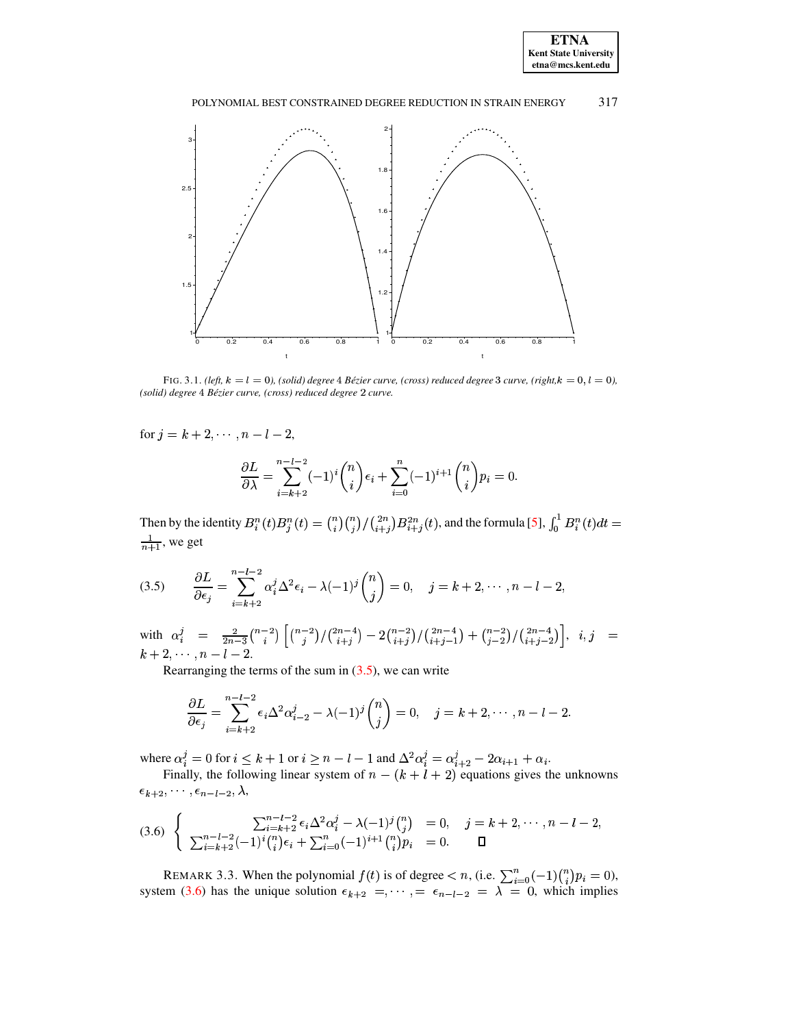



<span id="page-5-2"></span>FIG. 3.1. (left,  $k = l = 0$ ), (solid) degree 4 Bézier curve, (cross) reduced degree 3 curve, (right,  $k = 0, l = 0$ ), (solid) degree 4 Bézier curve, (cross) reduced degree 2 curve.

for  $j = k + 2, \dots, n - l - 2$ ,

$$
\frac{\partial L}{\partial \lambda} = \sum_{i=k+2}^{n-l-2} (-1)^i \binom{n}{i} \epsilon_i + \sum_{i=0}^n (-1)^{i+1} \binom{n}{i} p_i = 0
$$

<span id="page-5-0"></span>Then by the identity  $B_i^n(t)B_j^n(t) = \binom{n}{i}\binom{n}{j}/\binom{2n}{i+j}B_{i+j}^{2n}(t)$ , and the formula [5],  $\int_0^1 B_i^n(t)dt =$  $\frac{1}{n+1}$ , we get

$$
(3.5) \qquad \frac{\partial L}{\partial \epsilon_j} = \sum_{i=k+2}^{n-l-2} \alpha_i^j \Delta^2 \epsilon_i - \lambda (-1)^j \binom{n}{j} = 0, \quad j = k+2, \cdots, n-l-2,
$$

with  $\alpha_i^j = \frac{2}{2n-3} \binom{n-2}{i} \left[ \binom{n-2}{j} / \binom{2n-4}{i+j} - 2 \binom{n-2}{i+j} / \binom{2n-4}{i+j-1} + \binom{n-2}{j-2} / \binom{2n-4}{i+j-2} \right], \ i, j = 1,2,3$  $k+2, \cdots, n-l-2.$ 

Rearranging the terms of the sum in  $(3.5)$ , we can write

$$
\frac{\partial L}{\partial \epsilon_j} = \sum_{i=k+2}^{n-l-2} \epsilon_i \Delta^2 \alpha_{i-2}^j - \lambda (-1)^j \binom{n}{j} = 0, \quad j = k+2, \cdots, n-l-2.
$$

where  $\alpha_i^j = 0$  for  $i \le k + 1$  or  $i \ge n - l - 1$  and  $\Delta^2 \alpha_i^j = \alpha_{i+2}^j - 2\alpha_{i+1} + \alpha_i$ .<br>Finally, the following linear system of  $n - (k + l + 2)$  equations gives the unknowns

<span id="page-5-1"></span> $\epsilon_{k+2},\cdots,\epsilon_{n-l-2},\lambda,$ 

$$
(3.6) \left\{\n\begin{array}{ll}\n\sum_{i=k+2}^{n-l-2} \epsilon_i \Delta^2 \alpha_i^j - \lambda (-1)^j \binom{n}{j} & = 0, \quad j = k+2, \cdots, n-l-2, \\
\sum_{i=k+2}^{n-l-2} (-1)^i \binom{n}{i} \epsilon_i + \sum_{i=0}^n (-1)^{i+1} \binom{n}{i} p_i & = 0.\n\end{array}\n\right.
$$

REMARK 3.3. When the polynomial  $f(t)$  is of degree  $\lt n$ , (i.e.  $\sum_{i=0}^{n} (-1) {n \choose i} p_i = 0$ ), system (3.6) has the unique solution  $\epsilon_{k+2} = \cdots = \epsilon_{n-l-2} = \lambda = 0$ , which implies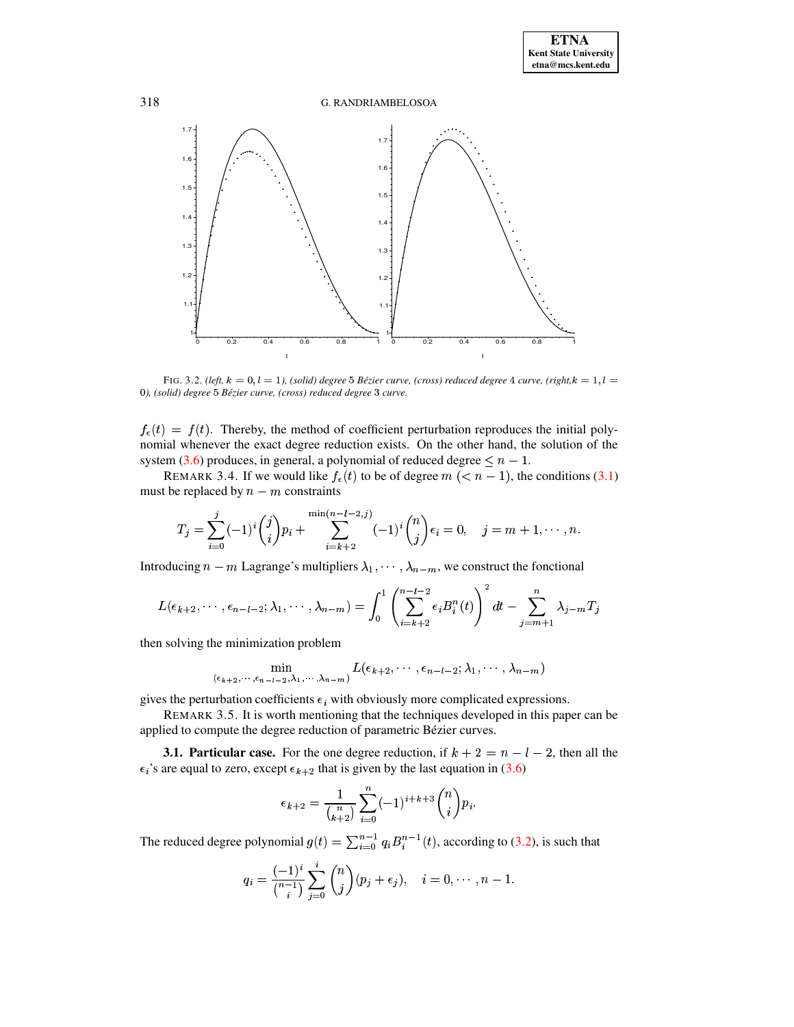# G. RANDRIAMBELOSOA



<span id="page-6-0"></span>FIG. 3.2. (left,  $k = 0, l = 1$ ), (solid) degree 5 Bézier curve, (cross) reduced degree 4 curve, (right, $k = 1, l = 1$ 0), (solid) degree 5 Bézier curve, (cross) reduced degree 3 curve.

 $f_{\epsilon}(t) = f(t)$ . Thereby, the method of coefficient perturbation reproduces the initial polynomial whenever the exact degree reduction exists. On the other hand, the solution of the system (3.6) produces, in general, a polynomial of reduced degree  $\leq n-1$ .

REMARK 3.4. If we would like  $f_{\epsilon}(t)$  to be of degree  $m \ ( < n - 1)$ , the conditions (3.1) must be replaced by  $n - m$  constraints

$$
T_j = \sum_{i=0}^j (-1)^i \binom{j}{i} p_i + \sum_{i=k+2}^{\min(n-l-2,j)} (-1)^i \binom{n}{j} \epsilon_i = 0, \quad j = m+1, \cdots, n
$$

Introducing  $n - m$  Lagrange's multipliers  $\lambda_1, \dots, \lambda_{n-m}$ , we construct the fonctional

$$
L(\epsilon_{k+2},\cdots,\epsilon_{n-l-2};\lambda_1,\cdots,\lambda_{n-m})=\int_0^1\left(\sum_{i=k+2}^{n-l-2}\epsilon_iB_i^n(t)\right)^2dt-\sum_{j=m+1}^n\lambda_{j-m}T_j
$$

then solving the minimization problem

$$
\min_{(\epsilon_{k+2},\cdots,\epsilon_{n-l-2},\lambda_1,\cdots,\lambda_{n-m})} L(\epsilon_{k+2},\cdots,\epsilon_{n-l-2};\lambda_1,\cdots,\lambda_{n-m})
$$

gives the perturbation coefficients  $\epsilon_i$  with obviously more complicated expressions.

REMARK 3.5. It is worth mentioning that the techniques developed in this paper can be applied to compute the degree reduction of parametric Bézier curves.

**3.1. Particular case.** For the one degree reduction, if  $k + 2 = n - l - 2$ , then all the  $\epsilon_i$ 's are equal to zero, except  $\epsilon_{k+2}$  that is given by the last equation in (3.6)

$$
\epsilon_{k+2} = \frac{1}{\binom{n}{k+2}} \sum_{i=0}^{n} (-1)^{i+k+3} \binom{n}{i} p_i.
$$

The reduced degree polynomial  $g(t) = \sum_{i=0}^{n-1} q_i B_i^{n-1}(t)$ , according to (3.2), is such that

$$
q_i = \frac{(-1)^i}{\binom{n-1}{i}} \sum_{j=0}^i \binom{n}{j} (p_j + \epsilon_j), \quad i = 0, \cdots, n-1.
$$

318